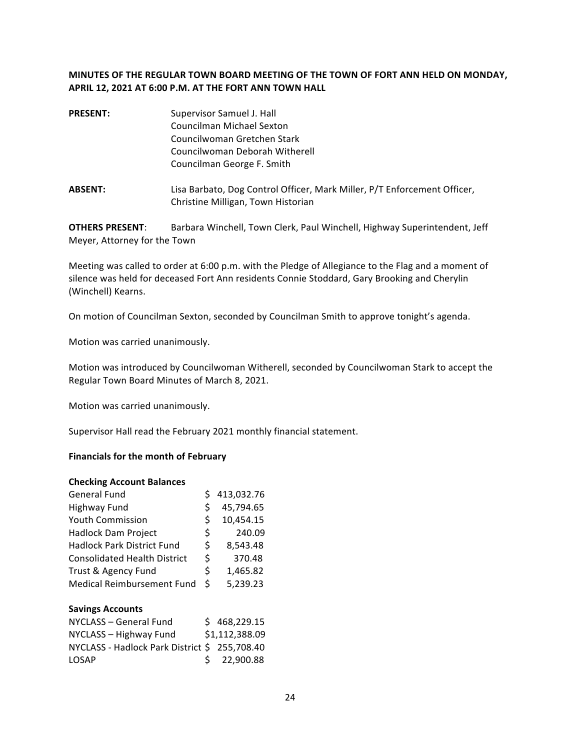## **MINUTES OF THE REGULAR TOWN BOARD MEETING OF THE TOWN OF FORT ANN HELD ON MONDAY,** APRIL 12, 2021 AT 6:00 P.M. AT THE FORT ANN TOWN HALL

| <b>PRESENT:</b> | Supervisor Samuel J. Hall<br><b>Councilman Michael Sexton</b> |  |  |  |
|-----------------|---------------------------------------------------------------|--|--|--|
|                 | Councilwoman Gretchen Stark                                   |  |  |  |
|                 | Councilwoman Deborah Witherell                                |  |  |  |
|                 | Councilman George F. Smith                                    |  |  |  |
|                 |                                                               |  |  |  |

**ABSENT:** Lisa Barbato, Dog Control Officer, Mark Miller, P/T Enforcement Officer, Christine Milligan, Town Historian

**OTHERS PRESENT:** Barbara Winchell, Town Clerk, Paul Winchell, Highway Superintendent, Jeff Meyer, Attorney for the Town

Meeting was called to order at 6:00 p.m. with the Pledge of Allegiance to the Flag and a moment of silence was held for deceased Fort Ann residents Connie Stoddard, Gary Brooking and Cherylin (Winchell) Kearns.

On motion of Councilman Sexton, seconded by Councilman Smith to approve tonight's agenda.

Motion was carried unanimously.

Motion was introduced by Councilwoman Witherell, seconded by Councilwoman Stark to accept the Regular Town Board Minutes of March 8, 2021.

Motion was carried unanimously.

Supervisor Hall read the February 2021 monthly financial statement.

### **Financials for the month of February**

#### **Checking Account Balances**

| <b>General Fund</b>                           |    | 413,032.76     |
|-----------------------------------------------|----|----------------|
| <b>Highway Fund</b>                           | \$ | 45,794.65      |
| <b>Youth Commission</b>                       | \$ | 10,454.15      |
| <b>Hadlock Dam Project</b>                    | \$ | 240.09         |
| <b>Hadlock Park District Fund</b>             | \$ | 8,543.48       |
| <b>Consolidated Health District</b>           | \$ | 370.48         |
| Trust & Agency Fund                           | \$ | 1,465.82       |
| <b>Medical Reimbursement Fund</b>             | Ś  | 5,239.23       |
| <b>Savings Accounts</b>                       |    |                |
| NYCLASS - General Fund                        |    | \$468,229.15   |
| NYCLASS - Highway Fund                        |    | \$1,112,388.09 |
| NYCLASS - Hadlock Park District \$ 255,708.40 |    |                |
|                                               |    |                |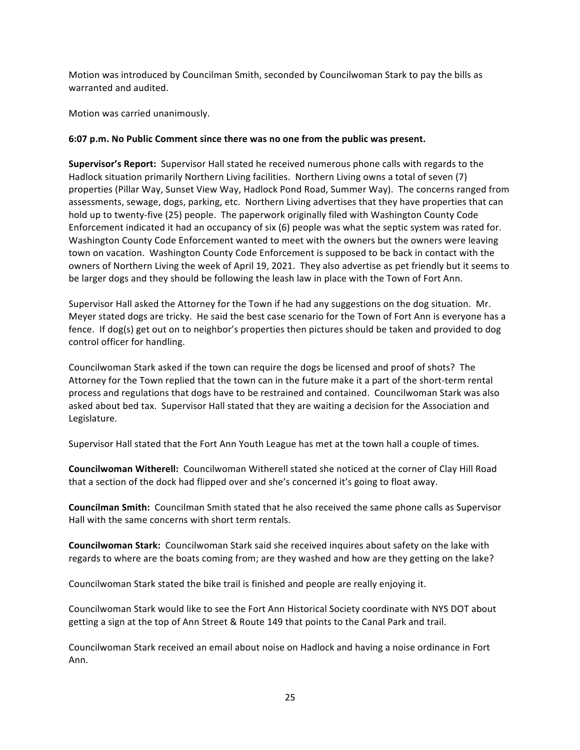Motion was introduced by Councilman Smith, seconded by Councilwoman Stark to pay the bills as warranted and audited.

Motion was carried unanimously.

### **6:07 p.m. No Public Comment since there was no one from the public was present.**

**Supervisor's Report:** Supervisor Hall stated he received numerous phone calls with regards to the Hadlock situation primarily Northern Living facilities. Northern Living owns a total of seven (7) properties (Pillar Way, Sunset View Way, Hadlock Pond Road, Summer Way). The concerns ranged from assessments, sewage, dogs, parking, etc. Northern Living advertises that they have properties that can hold up to twenty-five (25) people. The paperwork originally filed with Washington County Code Enforcement indicated it had an occupancy of six (6) people was what the septic system was rated for. Washington County Code Enforcement wanted to meet with the owners but the owners were leaving town on vacation. Washington County Code Enforcement is supposed to be back in contact with the owners of Northern Living the week of April 19, 2021. They also advertise as pet friendly but it seems to be larger dogs and they should be following the leash law in place with the Town of Fort Ann.

Supervisor Hall asked the Attorney for the Town if he had any suggestions on the dog situation. Mr. Meyer stated dogs are tricky. He said the best case scenario for the Town of Fort Ann is everyone has a fence. If dog(s) get out on to neighbor's properties then pictures should be taken and provided to dog control officer for handling.

Councilwoman Stark asked if the town can require the dogs be licensed and proof of shots? The Attorney for the Town replied that the town can in the future make it a part of the short-term rental process and regulations that dogs have to be restrained and contained. Councilwoman Stark was also asked about bed tax. Supervisor Hall stated that they are waiting a decision for the Association and Legislature.

Supervisor Hall stated that the Fort Ann Youth League has met at the town hall a couple of times.

**Councilwoman Witherell:** Councilwoman Witherell stated she noticed at the corner of Clay Hill Road that a section of the dock had flipped over and she's concerned it's going to float away.

**Councilman Smith:** Councilman Smith stated that he also received the same phone calls as Supervisor Hall with the same concerns with short term rentals.

**Councilwoman Stark:** Councilwoman Stark said she received inquires about safety on the lake with regards to where are the boats coming from; are they washed and how are they getting on the lake?

Councilwoman Stark stated the bike trail is finished and people are really enjoying it.

Councilwoman Stark would like to see the Fort Ann Historical Society coordinate with NYS DOT about getting a sign at the top of Ann Street & Route 149 that points to the Canal Park and trail.

Councilwoman Stark received an email about noise on Hadlock and having a noise ordinance in Fort Ann.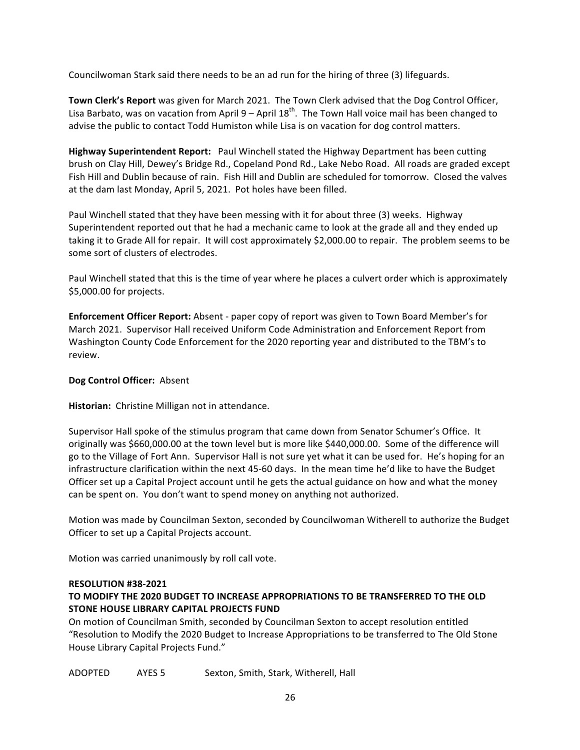Councilwoman Stark said there needs to be an ad run for the hiring of three (3) lifeguards.

**Town Clerk's Report** was given for March 2021. The Town Clerk advised that the Dog Control Officer, Lisa Barbato, was on vacation from April  $9 -$ April  $18<sup>th</sup>$ . The Town Hall voice mail has been changed to advise the public to contact Todd Humiston while Lisa is on vacation for dog control matters.

**Highway Superintendent Report:** Paul Winchell stated the Highway Department has been cutting brush on Clay Hill, Dewey's Bridge Rd., Copeland Pond Rd., Lake Nebo Road. All roads are graded except Fish Hill and Dublin because of rain. Fish Hill and Dublin are scheduled for tomorrow. Closed the valves at the dam last Monday, April 5, 2021. Pot holes have been filled.

Paul Winchell stated that they have been messing with it for about three (3) weeks. Highway Superintendent reported out that he had a mechanic came to look at the grade all and they ended up taking it to Grade All for repair. It will cost approximately \$2,000.00 to repair. The problem seems to be some sort of clusters of electrodes.

Paul Winchell stated that this is the time of year where he places a culvert order which is approximately \$5,000.00 for projects.

**Enforcement Officer Report:** Absent - paper copy of report was given to Town Board Member's for March 2021. Supervisor Hall received Uniform Code Administration and Enforcement Report from Washington County Code Enforcement for the 2020 reporting year and distributed to the TBM's to review.

### **Dog Control Officer: Absent**

Historian: Christine Milligan not in attendance.

Supervisor Hall spoke of the stimulus program that came down from Senator Schumer's Office. It originally was \$660,000.00 at the town level but is more like \$440,000.00. Some of the difference will go to the Village of Fort Ann. Supervisor Hall is not sure yet what it can be used for. He's hoping for an infrastructure clarification within the next 45-60 days. In the mean time he'd like to have the Budget Officer set up a Capital Project account until he gets the actual guidance on how and what the money can be spent on. You don't want to spend money on anything not authorized.

Motion was made by Councilman Sexton, seconded by Councilwoman Witherell to authorize the Budget Officer to set up a Capital Projects account.

Motion was carried unanimously by roll call vote.

### **RESOLUTION #38-2021**

# TO MODIFY THE 2020 BUDGET TO INCREASE APPROPRIATIONS TO BE TRANSFERRED TO THE OLD **STONE HOUSE LIBRARY CAPITAL PROJECTS FUND**

On motion of Councilman Smith, seconded by Councilman Sexton to accept resolution entitled "Resolution to Modify the 2020 Budget to Increase Appropriations to be transferred to The Old Stone House Library Capital Projects Fund."

ADOPTED AYES 5 Sexton, Smith, Stark, Witherell, Hall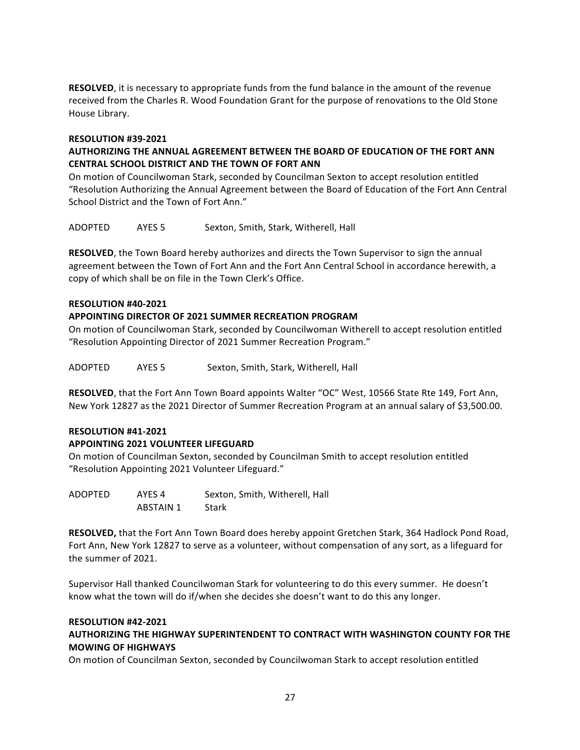**RESOLVED**, it is necessary to appropriate funds from the fund balance in the amount of the revenue received from the Charles R. Wood Foundation Grant for the purpose of renovations to the Old Stone House Library.

### **RESOLUTION #39-2021**

## AUTHORIZING THE ANNUAL AGREEMENT BETWEEN THE BOARD OF EDUCATION OF THE FORT ANN **CENTRAL SCHOOL DISTRICT AND THE TOWN OF FORT ANN**

On motion of Councilwoman Stark, seconded by Councilman Sexton to accept resolution entitled "Resolution Authorizing the Annual Agreement between the Board of Education of the Fort Ann Central School District and the Town of Fort Ann."

ADOPTED AYES 5 Sexton, Smith, Stark, Witherell, Hall

**RESOLVED**, the Town Board hereby authorizes and directs the Town Supervisor to sign the annual agreement between the Town of Fort Ann and the Fort Ann Central School in accordance herewith, a copy of which shall be on file in the Town Clerk's Office.

### **RESOLUTION #40-2021**

### **APPOINTING DIRECTOR OF 2021 SUMMER RECREATION PROGRAM**

On motion of Councilwoman Stark, seconded by Councilwoman Witherell to accept resolution entitled "Resolution Appointing Director of 2021 Summer Recreation Program."

ADOPTED AYES 5 Sexton, Smith, Stark, Witherell, Hall

**RESOLVED**, that the Fort Ann Town Board appoints Walter "OC" West, 10566 State Rte 149, Fort Ann, New York 12827 as the 2021 Director of Summer Recreation Program at an annual salary of \$3,500.00.

#### **RESOLUTION #41-2021**

#### **APPOINTING 2021 VOLUNTEER LIFEGUARD**

On motion of Councilman Sexton, seconded by Councilman Smith to accept resolution entitled "Resolution Appointing 2021 Volunteer Lifeguard."

| ADOPTED | AYES 4    | Sexton, Smith, Witherell, Hall |
|---------|-----------|--------------------------------|
|         | ABSTAIN 1 | Stark                          |

**RESOLVED,** that the Fort Ann Town Board does hereby appoint Gretchen Stark, 364 Hadlock Pond Road, Fort Ann, New York 12827 to serve as a volunteer, without compensation of any sort, as a lifeguard for the summer of 2021.

Supervisor Hall thanked Councilwoman Stark for volunteering to do this every summer. He doesn't know what the town will do if/when she decides she doesn't want to do this any longer.

#### **RESOLUTION #42-2021**

## AUTHORIZING THE HIGHWAY SUPERINTENDENT TO CONTRACT WITH WASHINGTON COUNTY FOR THE **MOWING OF HIGHWAYS**

On motion of Councilman Sexton, seconded by Councilwoman Stark to accept resolution entitled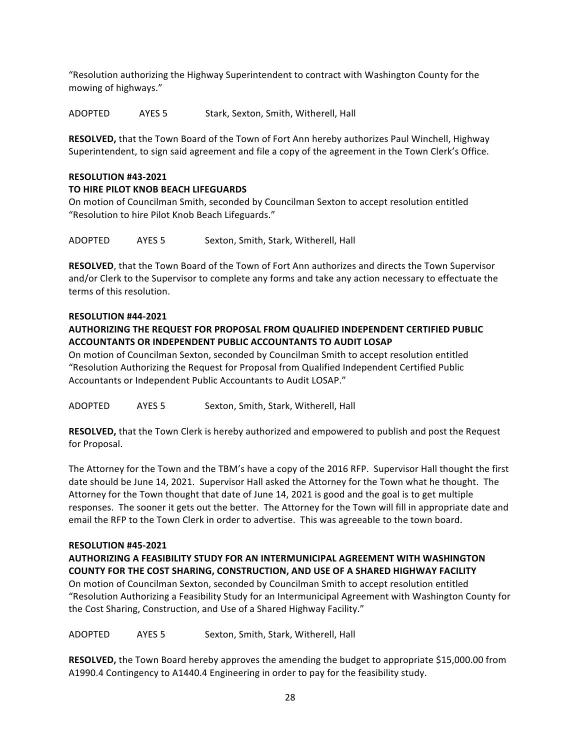"Resolution authorizing the Highway Superintendent to contract with Washington County for the mowing of highways."

ADOPTED AYES 5 Stark, Sexton, Smith, Witherell, Hall

**RESOLVED,** that the Town Board of the Town of Fort Ann hereby authorizes Paul Winchell, Highway Superintendent, to sign said agreement and file a copy of the agreement in the Town Clerk's Office.

### **RESOLUTION #43-2021**

## **TO HIRE PILOT KNOB BEACH LIFEGUARDS**

On motion of Councilman Smith, seconded by Councilman Sexton to accept resolution entitled "Resolution to hire Pilot Knob Beach Lifeguards."

ADOPTED AYES 5 Sexton, Smith, Stark, Witherell, Hall

**RESOLVED**, that the Town Board of the Town of Fort Ann authorizes and directs the Town Supervisor and/or Clerk to the Supervisor to complete any forms and take any action necessary to effectuate the terms of this resolution.

### **RESOLUTION #44-2021**

## **AUTHORIZING THE REQUEST FOR PROPOSAL FROM QUALIFIED INDEPENDENT CERTIFIED PUBLIC ACCOUNTANTS OR INDEPENDENT PUBLIC ACCOUNTANTS TO AUDIT LOSAP**

On motion of Councilman Sexton, seconded by Councilman Smith to accept resolution entitled "Resolution Authorizing the Request for Proposal from Qualified Independent Certified Public Accountants or Independent Public Accountants to Audit LOSAP."

ADOPTED AYES 5 Sexton, Smith, Stark, Witherell, Hall

**RESOLVED,** that the Town Clerk is hereby authorized and empowered to publish and post the Request for Proposal.

The Attorney for the Town and the TBM's have a copy of the 2016 RFP. Supervisor Hall thought the first date should be June 14, 2021. Supervisor Hall asked the Attorney for the Town what he thought. The Attorney for the Town thought that date of June 14, 2021 is good and the goal is to get multiple responses. The sooner it gets out the better. The Attorney for the Town will fill in appropriate date and email the RFP to the Town Clerk in order to advertise. This was agreeable to the town board.

### **RESOLUTION #45-2021**

# **AUTHORIZING A FEASIBILITY STUDY FOR AN INTERMUNICIPAL AGREEMENT WITH WASHINGTON COUNTY FOR THE COST SHARING, CONSTRUCTION, AND USE OF A SHARED HIGHWAY FACILITY**

On motion of Councilman Sexton, seconded by Councilman Smith to accept resolution entitled "Resolution Authorizing a Feasibility Study for an Intermunicipal Agreement with Washington County for the Cost Sharing, Construction, and Use of a Shared Highway Facility."

ADOPTED AYES 5 Sexton, Smith, Stark, Witherell, Hall

**RESOLVED,** the Town Board hereby approves the amending the budget to appropriate \$15,000.00 from A1990.4 Contingency to A1440.4 Engineering in order to pay for the feasibility study.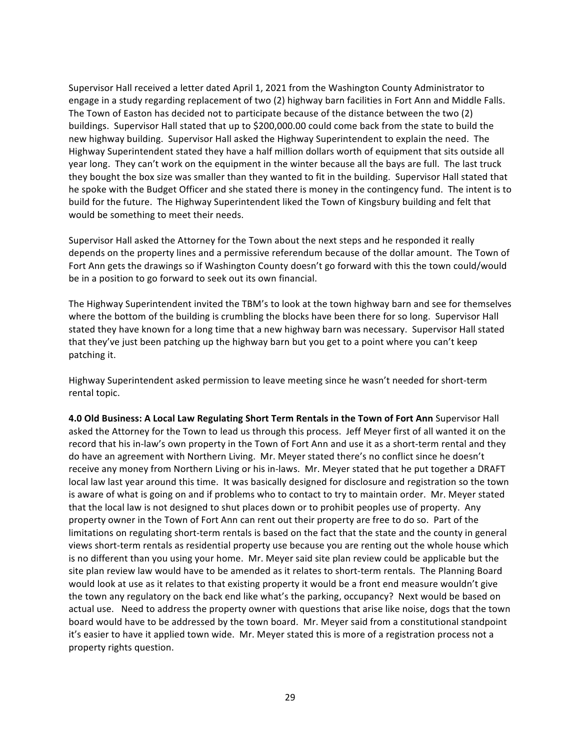Supervisor Hall received a letter dated April 1, 2021 from the Washington County Administrator to engage in a study regarding replacement of two (2) highway barn facilities in Fort Ann and Middle Falls. The Town of Easton has decided not to participate because of the distance between the two (2) buildings. Supervisor Hall stated that up to \$200,000.00 could come back from the state to build the new highway building. Supervisor Hall asked the Highway Superintendent to explain the need. The Highway Superintendent stated they have a half million dollars worth of equipment that sits outside all year long. They can't work on the equipment in the winter because all the bays are full. The last truck they bought the box size was smaller than they wanted to fit in the building. Supervisor Hall stated that he spoke with the Budget Officer and she stated there is money in the contingency fund. The intent is to build for the future. The Highway Superintendent liked the Town of Kingsbury building and felt that would be something to meet their needs.

Supervisor Hall asked the Attorney for the Town about the next steps and he responded it really depends on the property lines and a permissive referendum because of the dollar amount. The Town of Fort Ann gets the drawings so if Washington County doesn't go forward with this the town could/would be in a position to go forward to seek out its own financial.

The Highway Superintendent invited the TBM's to look at the town highway barn and see for themselves where the bottom of the building is crumbling the blocks have been there for so long. Supervisor Hall stated they have known for a long time that a new highway barn was necessary. Supervisor Hall stated that they've just been patching up the highway barn but you get to a point where you can't keep patching it.

Highway Superintendent asked permission to leave meeting since he wasn't needed for short-term rental topic.

**4.0 Old Business: A Local Law Regulating Short Term Rentals in the Town of Fort Ann** Supervisor Hall asked the Attorney for the Town to lead us through this process. Jeff Meyer first of all wanted it on the record that his in-law's own property in the Town of Fort Ann and use it as a short-term rental and they do have an agreement with Northern Living. Mr. Meyer stated there's no conflict since he doesn't receive any money from Northern Living or his in-laws. Mr. Meyer stated that he put together a DRAFT local law last year around this time. It was basically designed for disclosure and registration so the town is aware of what is going on and if problems who to contact to try to maintain order. Mr. Meyer stated that the local law is not designed to shut places down or to prohibit peoples use of property. Any property owner in the Town of Fort Ann can rent out their property are free to do so. Part of the limitations on regulating short-term rentals is based on the fact that the state and the county in general views short-term rentals as residential property use because you are renting out the whole house which is no different than you using your home. Mr. Meyer said site plan review could be applicable but the site plan review law would have to be amended as it relates to short-term rentals. The Planning Board would look at use as it relates to that existing property it would be a front end measure wouldn't give the town any regulatory on the back end like what's the parking, occupancy? Next would be based on actual use. Need to address the property owner with questions that arise like noise, dogs that the town board would have to be addressed by the town board. Mr. Meyer said from a constitutional standpoint it's easier to have it applied town wide. Mr. Meyer stated this is more of a registration process not a property rights question.